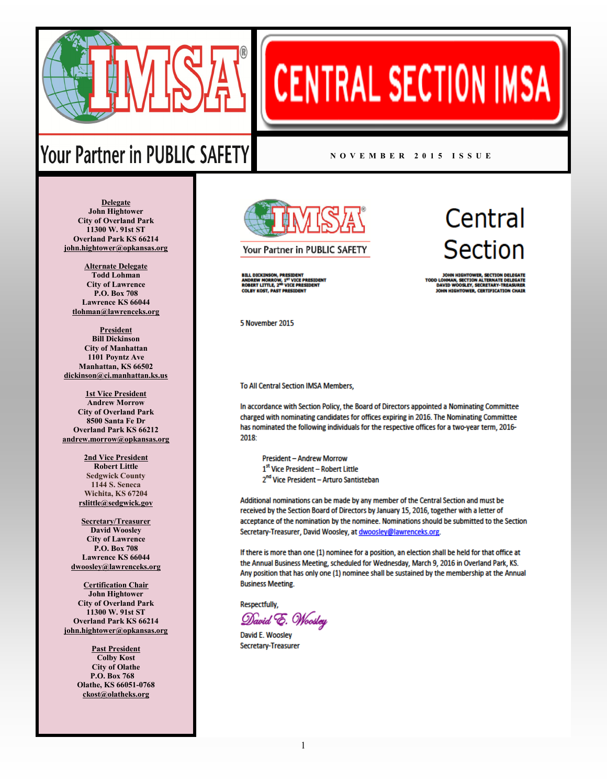

## **CENTRAL SECTION IMSA**

## Your Partner in PUBLIC SAFETY

## **N O V E M B E R 2 0 1 5 I S S U E**

**Delegate John Hightower City of Overland Park 11300 W. 91st ST Overland Park KS 66214 [john.hightower@opkansas.org](mailto:john.hightower@opkansas.org)**

**Alternate Delegate Todd Lohman City of Lawrence P.O. Box 708 Lawrence KS 66044 [tlohman@lawrenceks.org](mailto:tlohman@lawrenceks.org)**

**President Bill Dickinson City of Manhattan 1101 Poyntz Ave Manhattan, KS 66502 [dickinson@ci.manhattan.ks.us](mailto:dickinson@cityofmhk.com)**

**1st Vice President Andrew Morrow City of Overland Park 8500 Santa Fe Dr Overland Park KS 66212 [andrew.morrow@opkansas.org](mailto:andrew.morrow@opkansas.org)**

> **2nd Vice President Robert Little Sedgwick County 1144 S. Seneca Wichita, KS 67204 [rslittle@sedgwick.gov](mailto:rslittle@sedgwick.gov)**

**Secretary/Treasurer David Woosley City of Lawrence P.O. Box 708 Lawrence KS 66044 [dwoosley@lawrenceks.org](mailto:dwoosley@lawrenceks.org)**

**Certification Chair John Hightower City of Overland Park 11300 W. 91st ST Overland Park KS 66214 [john.hightower@opkansas.org](mailto:john.hightower@opkansas.org)**

> **Past President Colby Kost City of Olathe P.O. Box 768 Olathe, KS 66051-0768 [ckost@olatheks.org](mailto:ckost.olatheks.org)**



Your Partner in PUBLIC SAFETY

BILL DICKINSON, PRESIDENT<br>ANDREW MORROW, 1<sup>87</sup> VICE PRESIDENT<br>ROBERT LITTLE, 2<sup>%D</sup> VICE PRESIDENT **COLBY KOST, PAST PRESIDENT** 

Central **Section** 

HMAN, SECTION ALTERNATE DELEGATE<br>VID WOOSLEY, SECRETARY-TREASURER<br>N HIGHTOWER, CERTIFICATION CHAIR **DAVID W** 

5 November 2015

To All Central Section IMSA Members,

In accordance with Section Policy, the Board of Directors appointed a Nominating Committee charged with nominating candidates for offices expiring in 2016. The Nominating Committee has nominated the following individuals for the respective offices for a two-year term, 2016- $2018 -$ 

**President - Andrew Morrow** 1st Vice President - Robert Little 2<sup>nd</sup> Vice President - Arturo Santisteban

Additional nominations can be made by any member of the Central Section and must be received by the Section Board of Directors by January 15, 2016, together with a letter of acceptance of the nomination by the nominee. Nominations should be submitted to the Section Secretary-Treasurer, David Woosley, at dwoosley@lawrenceks.org.

If there is more than one (1) nominee for a position, an election shall be held for that office at the Annual Business Meeting, scheduled for Wednesday, March 9, 2016 in Overland Park, KS. Any position that has only one (1) nominee shall be sustained by the membership at the Annual **Business Meeting.** 

Respectfully.

David E. Woosley

David E. Woosley Secretary-Treasurer